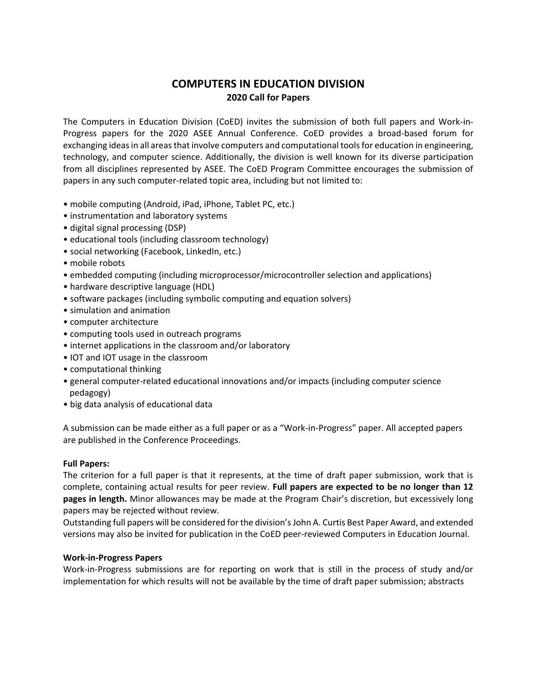# **COMPUTERS IN EDUCATION DIVISION 2020 Call for Papers**

The Computers in Education Division (CoED) invites the submission of both full papers and Work-in-Progress papers for the 2020 ASEE Annual Conference. CoED provides a broad-based forum for exchanging ideas in all areas that involve computers and computational tools for education in engineering, technology, and computer science. Additionally, the division is well known for its diverse participation from all disciplines represented by ASEE. The CoED Program Committee encourages the submission of papers in any such computer-related topic area, including but not limited to:

- mobile computing (Android, iPad, iPhone, Tablet PC, etc.)
- instrumentation and laboratory systems
- digital signal processing (DSP)
- educational tools (including classroom technology)
- social networking (Facebook, LinkedIn, etc.)
- mobile robots
- embedded computing (including microprocessor/microcontroller selection and applications)
- hardware descriptive language (HDL)
- software packages (including symbolic computing and equation solvers)
- simulation and animation
- computer architecture
- computing tools used in outreach programs
- internet applications in the classroom and/or laboratory
- IOT and IOT usage in the classroom
- computational thinking
- general computer-related educational innovations and/or impacts (including computer science pedagogy)
- big data analysis of educational data

A submission can be made either as a full paper or as a "Work-in-Progress" paper. All accepted papers are published in the Conference Proceedings.

#### **Full Papers:**

The criterion for a full paper is that it represents, at the time of draft paper submission, work that is complete, containing actual results for peer review. **Full papers are expected to be no longer than 12 pages in length.** Minor allowances may be made at the Program Chair's discretion, but excessively long papers may be rejected without review.

Outstanding full papers will be considered for the division's John A. Curtis Best Paper Award, and extended versions may also be invited for publication in the CoED peer-reviewed Computers in Education Journal.

#### **Work-in-Progress Papers**

Work-in-Progress submissions are for reporting on work that is still in the process of study and/or implementation for which results will not be available by the time of draft paper submission; abstracts